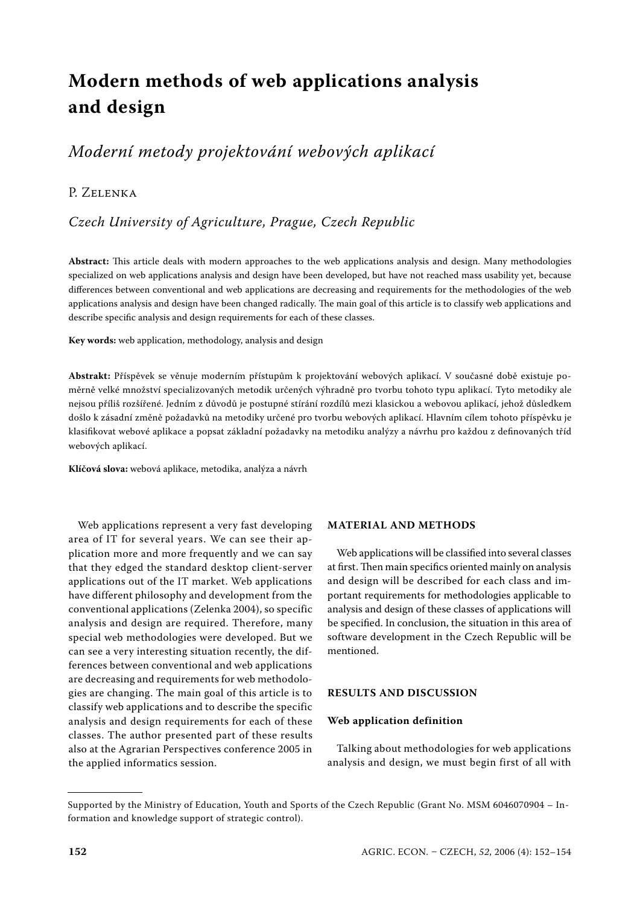# **Modern methods of web applications analysis and design**

## *Moderní metody projektování webových aplikací*

## P. ZELENKA

## *Czech University of Agriculture, Prague, Czech Republic*

**Abstract:** This article deals with modern approaches to the web applications analysis and design. Many methodologies specialized on web applications analysis and design have been developed, but have not reached mass usability yet, because differences between conventional and web applications are decreasing and requirements for the methodologies of the web applications analysis and design have been changed radically. The main goal of this article is to classify web applications and describe specific analysis and design requirements for each of these classes.

**Key words:** web application, methodology, analysis and design

**Abstrakt:** Příspěvek se věnuje moderním přístupům k projektování webových aplikací. V současné době existuje poměrně velké množství specializovaných metodik určených výhradně pro tvorbu tohoto typu aplikací. Tyto metodiky ale nejsou příliš rozšířené. Jedním z důvodů je postupné stírání rozdílů mezi klasickou a webovou aplikací, jehož důsledkem došlo k zásadní změně požadavků na metodiky určené pro tvorbu webových aplikací. Hlavním cílem tohoto příspěvku je klasifikovat webové aplikace a popsat základní požadavky na metodiku analýzy a návrhu pro každou z definovaných tříd webových aplikací.

**Klíčová slova:** webová aplikace, metodika, analýza a návrh

Web applications represent a very fast developing area of IT for several years. We can see their application more and more frequently and we can say that they edged the standard desktop client-server applications out of the IT market. Web applications have different philosophy and development from the conventional applications (Zelenka 2004), so specific analysis and design are required. Therefore, many special web methodologies were developed. But we can see a very interesting situation recently, the differences between conventional and web applications are decreasing and requirements for web methodologies are changing. The main goal of this article is to classify web applications and to describe the specific analysis and design requirements for each of these classes. The author presented part of these results also at the Agrarian Perspectives conference 2005 in the applied informatics session.

## **MATERIAL AND METHODS**

Web applications will be classified into several classes at first. Then main specifics oriented mainly on analysis and design will be described for each class and important requirements for methodologies applicable to analysis and design of these classes of applications will be specified. In conclusion, the situation in this area of software development in the Czech Republic will be mentioned.

## **RESULTS AND DISCUSSION**

## **Web application definition**

Talking about methodologies for web applications analysis and design, we must begin first of all with

Supported by the Ministry of Education, Youth and Sports of the Czech Republic (Grant No. MSM 6046070904 – Information and knowledge support of strategic control).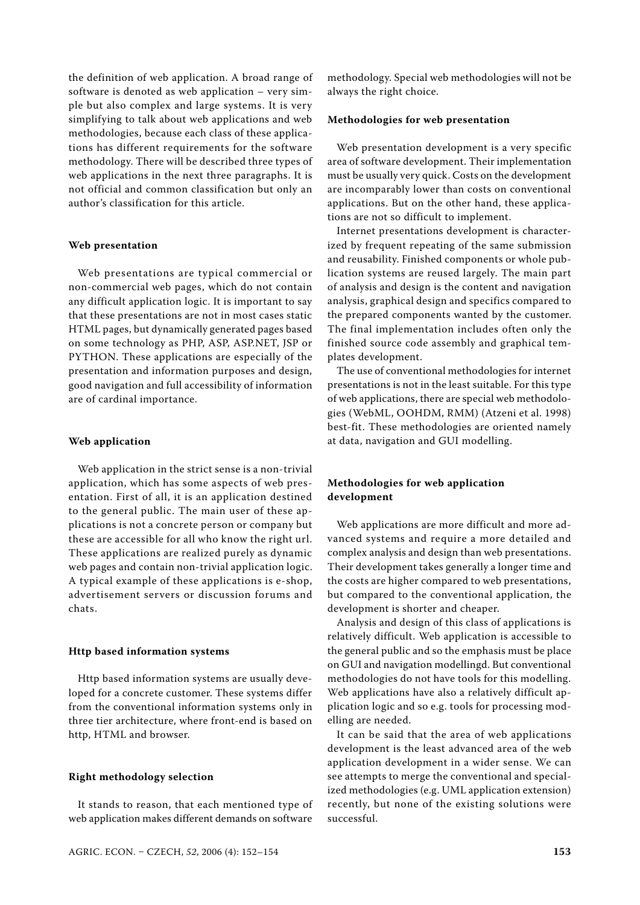the definition of web application. A broad range of software is denoted as web application – very simple but also complex and large systems. It is very simplifying to talk about web applications and web methodologies, because each class of these applications has different requirements for the software methodology. There will be described three types of web applications in the next three paragraphs. It is not official and common classification but only an author's classification for this article.

#### **Web presentation**

Web presentations are typical commercial or non-commercial web pages, which do not contain any difficult application logic. It is important to say that these presentations are not in most cases static HTML pages, but dynamically generated pages based on some technology as PHP, ASP, ASP.NET, JSP or PYTHON. These applications are especially of the presentation and information purposes and design, good navigation and full accessibility of information are of cardinal importance.

## **Web application**

Web application in the strict sense is a non-trivial application, which has some aspects of web presentation. First of all, it is an application destined to the general public. The main user of these applications is not a concrete person or company but these are accessible for all who know the right url. These applications are realized purely as dynamic web pages and contain non-trivial application logic. A typical example of these applications is e-shop, advertisement servers or discussion forums and chats.

#### **Http based information systems**

Http based information systems are usually developed for a concrete customer. These systems differ from the conventional information systems only in three tier architecture, where front-end is based on http, HTML and browser.

#### **Right methodology selection**

It stands to reason, that each mentioned type of web application makes different demands on software methodology. Special web methodologies will not be always the right choice.

#### **Methodologies for web presentation**

Web presentation development is a very specific area of software development. Their implementation must be usually very quick. Costs on the development are incomparably lower than costs on conventional applications. But on the other hand, these applications are not so difficult to implement.

Internet presentations development is characterized by frequent repeating of the same submission and reusability. Finished components or whole publication systems are reused largely. The main part of analysis and design is the content and navigation analysis, graphical design and specifics compared to the prepared components wanted by the customer. The final implementation includes often only the finished source code assembly and graphical templates development.

The use of conventional methodologies for internet presentations is not in the least suitable. For this type of web applications, there are special web methodologies (WebML, OOHDM, RMM) (Atzeni et al. 1998) best-fit. These methodologies are oriented namely at data, navigation and GUI modelling.

## **Methodologies for web application development**

Web applications are more difficult and more advanced systems and require a more detailed and complex analysis and design than web presentations. Their development takes generally a longer time and the costs are higher compared to web presentations, but compared to the conventional application, the development is shorter and cheaper.

Analysis and design of this class of applications is relatively difficult. Web application is accessible to the general public and so the emphasis must be place on GUI and navigation modellingd. But conventional methodologies do not have tools for this modelling. Web applications have also a relatively difficult application logic and so e.g. tools for processing modelling are needed.

It can be said that the area of web applications development is the least advanced area of the web application development in a wider sense. We can see attempts to merge the conventional and specialized methodologies (e.g. UML application extension) recently, but none of the existing solutions were successful.